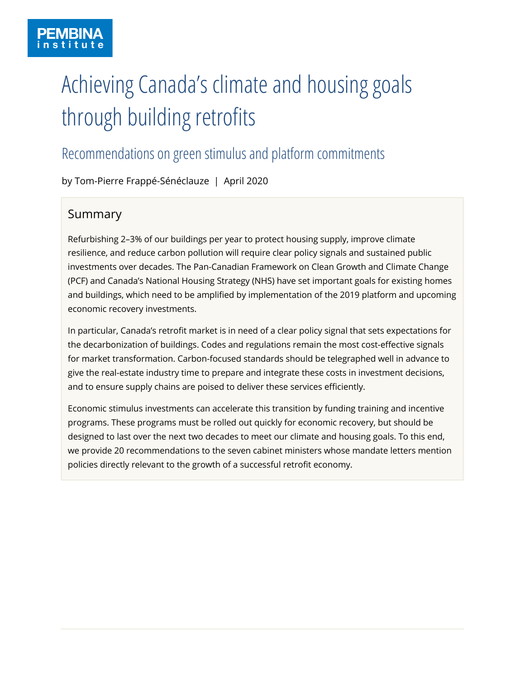# Achieving Canada's climate and housing goals through building retrofits

# Recommendations on green stimulus and platform commitments

by Tom-Pierre Frappé-Sénéclauze | April 2020

# Summary

Refurbishing 2–3% of our buildings per year to protect housing supply, improve climate resilience, and reduce carbon pollution will require clear policy signals and sustained public investments over decades. The Pan-Canadian Framework on Clean Growth and Climate Change (PCF) and Canada's National Housing Strategy (NHS) have set important goals for existing homes and buildings, which need to be amplified by implementation of the 2019 platform and upcoming economic recovery investments.

In particular, Canada's retrofit market is in need of a clear policy signal that sets expectations for the decarbonization of buildings. Codes and regulations remain the most cost-effective signals for market transformation. Carbon-focused standards should be telegraphed well in advance to give the real-estate industry time to prepare and integrate these costs in investment decisions, and to ensure supply chains are poised to deliver these services efficiently.

Economic stimulus investments can accelerate this transition by funding training and incentive programs. These programs must be rolled out quickly for economic recovery, but should be designed to last over the next two decades to meet our climate and housing goals. To this end, we provide 20 recommendations to the seven cabinet ministers whose mandate letters mention policies directly relevant to the growth of a successful retrofit economy.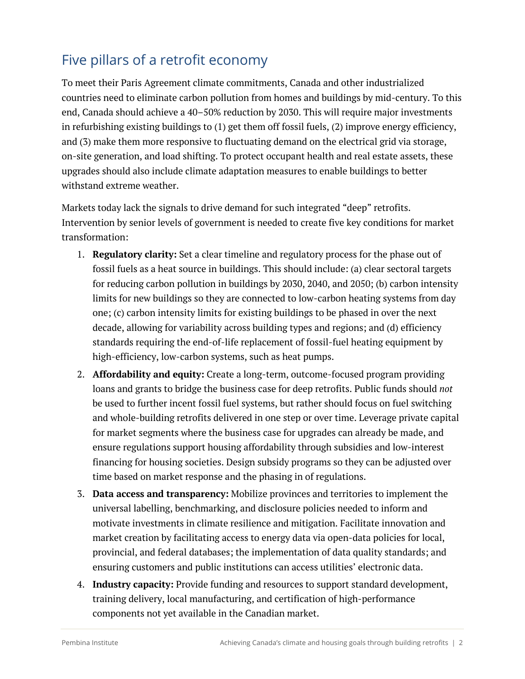# Five pillars of a retrofit economy

To meet their Paris Agreement climate commitments, Canada and other industrialized countries need to eliminate carbon pollution from homes and buildings by mid-century. To this end, Canada should achieve a 40–50% reduction by 2030. This will require major investments in refurbishing existing buildings to (1) get them off fossil fuels, (2) improve energy efficiency, and (3) make them more responsive to fluctuating demand on the electrical grid via storage, on-site generation, and load shifting. To protect occupant health and real estate assets, these upgrades should also include climate adaptation measures to enable buildings to better withstand extreme weather.

Markets today lack the signals to drive demand for such integrated "deep" retrofits. Intervention by senior levels of government is needed to create five key conditions for market transformation:

- 1. **Regulatory clarity:** Set a clear timeline and regulatory process for the phase out of fossil fuels as a heat source in buildings. This should include: (a) clear sectoral targets for reducing carbon pollution in buildings by 2030, 2040, and 2050; (b) carbon intensity limits for new buildings so they are connected to low-carbon heating systems from day one; (c) carbon intensity limits for existing buildings to be phased in over the next decade, allowing for variability across building types and regions; and (d) efficiency standards requiring the end-of-life replacement of fossil-fuel heating equipment by high-efficiency, low-carbon systems, such as heat pumps.
- 2. **Affordability and equity:** Create a long-term, outcome-focused program providing loans and grants to bridge the business case for deep retrofits. Public funds should *not* be used to further incent fossil fuel systems, but rather should focus on fuel switching and whole-building retrofits delivered in one step or over time. Leverage private capital for market segments where the business case for upgrades can already be made, and ensure regulations support housing affordability through subsidies and low-interest financing for housing societies. Design subsidy programs so they can be adjusted over time based on market response and the phasing in of regulations.
- 3. **Data access and transparency:** Mobilize provinces and territories to implement the universal labelling, benchmarking, and disclosure policies needed to inform and motivate investments in climate resilience and mitigation. Facilitate innovation and market creation by facilitating access to energy data via open-data policies for local, provincial, and federal databases; the implementation of data quality standards; and ensuring customers and public institutions can access utilities' electronic data.
- 4. **Industry capacity:** Provide funding and resources to support standard development, training delivery, local manufacturing, and certification of high-performance components not yet available in the Canadian market.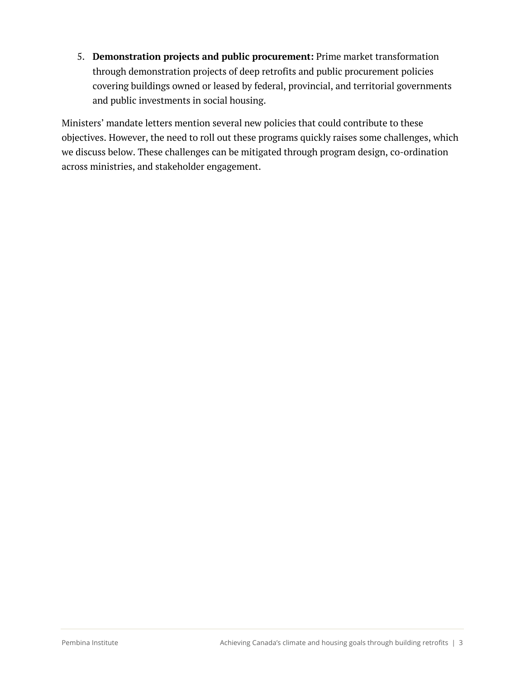5. **Demonstration projects and public procurement:** Prime market transformation through demonstration projects of deep retrofits and public procurement policies covering buildings owned or leased by federal, provincial, and territorial governments and public investments in social housing.

Ministers' mandate letters mention several new policies that could contribute to these objectives. However, the need to roll out these programs quickly raises some challenges, which we discuss below. These challenges can be mitigated through program design, co-ordination across ministries, and stakeholder engagement.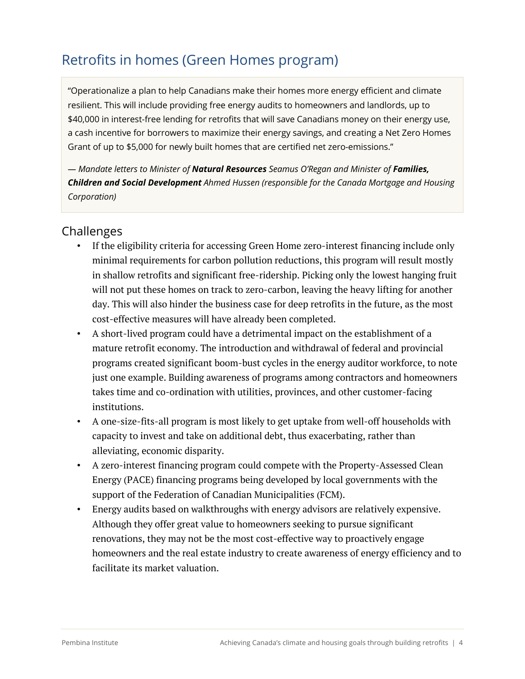# Retrofits in homes (Green Homes program)

"Operationalize a plan to help Canadians make their homes more energy efficient and climate resilient. This will include providing free energy audits to homeowners and landlords, up to \$40,000 in interest-free lending for retrofits that will save Canadians money on their energy use, a cash incentive for borrowers to maximize their energy savings, and creating a Net Zero Homes Grant of up to \$5,000 for newly built homes that are certified net zero-emissions."

*— Mandate letters to Minister of Natural Resources Seamus O'Regan and Minister of Families, Children and Social Development Ahmed Hussen (responsible for the Canada Mortgage and Housing Corporation)*

### Challenges

- If the eligibility criteria for accessing Green Home zero-interest financing include only minimal requirements for carbon pollution reductions, this program will result mostly in shallow retrofits and significant free-ridership. Picking only the lowest hanging fruit will not put these homes on track to zero-carbon, leaving the heavy lifting for another day. This will also hinder the business case for deep retrofits in the future, as the most cost-effective measures will have already been completed.
- A short-lived program could have a detrimental impact on the establishment of a mature retrofit economy. The introduction and withdrawal of federal and provincial programs created significant boom-bust cycles in the energy auditor workforce, to note just one example. Building awareness of programs among contractors and homeowners takes time and co-ordination with utilities, provinces, and other customer-facing institutions.
- A one-size-fits-all program is most likely to get uptake from well-off households with capacity to invest and take on additional debt, thus exacerbating, rather than alleviating, economic disparity.
- A zero-interest financing program could compete with the Property-Assessed Clean Energy (PACE) financing programs being developed by local governments with the support of the Federation of Canadian Municipalities (FCM).
- Energy audits based on walkthroughs with energy advisors are relatively expensive. Although they offer great value to homeowners seeking to pursue significant renovations, they may not be the most cost-effective way to proactively engage homeowners and the real estate industry to create awareness of energy efficiency and to facilitate its market valuation.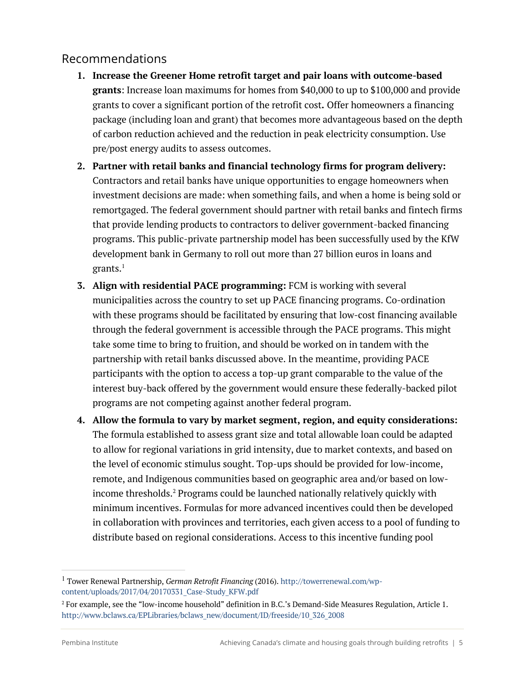- **1. Increase the Greener Home retrofit target and pair loans with outcome-based grants**: Increase loan maximums for homes from \$40,000 to up to \$100,000 and provide grants to cover a significant portion of the retrofit cost**.** Offer homeowners a financing package (including loan and grant) that becomes more advantageous based on the depth of carbon reduction achieved and the reduction in peak electricity consumption. Use pre/post energy audits to assess outcomes.
- **2. Partner with retail banks and financial technology firms for program delivery:**  Contractors and retail banks have unique opportunities to engage homeowners when investment decisions are made: when something fails, and when a home is being sold or remortgaged. The federal government should partner with retail banks and fintech firms that provide lending products to contractors to deliver government-backed financing programs. This public-private partnership model has been successfully used by the KfW development bank in Germany to roll out more than 27 billion euros in loans and grants. $<sup>1</sup>$ </sup>
- **3. Align with residential PACE programming:** FCM is working with several municipalities across the country to set up PACE financing programs. Co-ordination with these programs should be facilitated by ensuring that low-cost financing available through the federal government is accessible through the PACE programs. This might take some time to bring to fruition, and should be worked on in tandem with the partnership with retail banks discussed above. In the meantime, providing PACE participants with the option to access a top-up grant comparable to the value of the interest buy-back offered by the government would ensure these federally-backed pilot programs are not competing against another federal program.
- **4. Allow the formula to vary by market segment, region, and equity considerations:**  The formula established to assess grant size and total allowable loan could be adapted to allow for regional variations in grid intensity, due to market contexts, and based on the level of economic stimulus sought. Top-ups should be provided for low-income, remote, and Indigenous communities based on geographic area and/or based on lowincome thresholds.<sup>2</sup> Programs could be launched nationally relatively quickly with minimum incentives. Formulas for more advanced incentives could then be developed in collaboration with provinces and territories, each given access to a pool of funding to distribute based on regional considerations. Access to this incentive funding pool

<sup>1</sup> Tower Renewal Partnership, *German Retrofit Financing* (2016). http://towerrenewal.com/wpcontent/uploads/2017/04/20170331\_Case-Study\_KFW.pdf

<sup>2</sup> For example, see the "low-income household" definition in B.C.'s Demand-Side Measures Regulation, Article 1. http://www.bclaws.ca/EPLibraries/bclaws\_new/document/ID/freeside/10\_326\_2008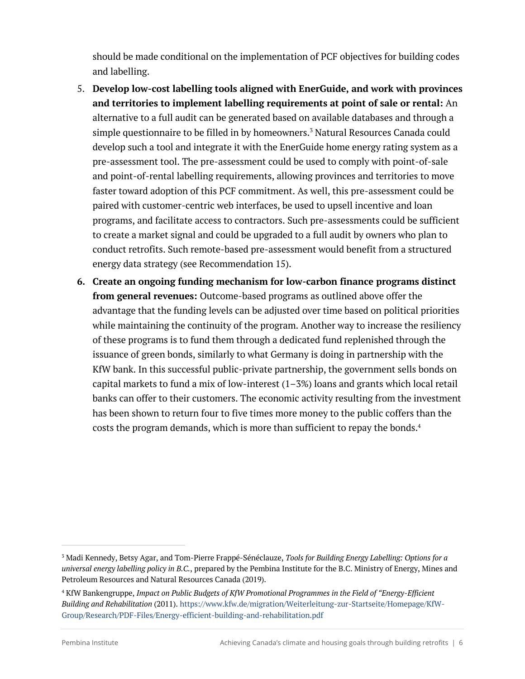should be made conditional on the implementation of PCF objectives for building codes and labelling.

- 5. **Develop low-cost labelling tools aligned with EnerGuide, and work with provinces and territories to implement labelling requirements at point of sale or rental:** An alternative to a full audit can be generated based on available databases and through a simple questionnaire to be filled in by homeowners.3 Natural Resources Canada could develop such a tool and integrate it with the EnerGuide home energy rating system as a pre-assessment tool. The pre-assessment could be used to comply with point-of-sale and point-of-rental labelling requirements, allowing provinces and territories to move faster toward adoption of this PCF commitment. As well, this pre-assessment could be paired with customer-centric web interfaces, be used to upsell incentive and loan programs, and facilitate access to contractors. Such pre-assessments could be sufficient to create a market signal and could be upgraded to a full audit by owners who plan to conduct retrofits. Such remote-based pre-assessment would benefit from a structured energy data strategy (see Recommendation 15).
- **6. Create an ongoing funding mechanism for low-carbon finance programs distinct from general revenues:** Outcome-based programs as outlined above offer the advantage that the funding levels can be adjusted over time based on political priorities while maintaining the continuity of the program. Another way to increase the resiliency of these programs is to fund them through a dedicated fund replenished through the issuance of green bonds, similarly to what Germany is doing in partnership with the KfW bank. In this successful public-private partnership, the government sells bonds on capital markets to fund a mix of low-interest  $(1-3%)$  loans and grants which local retail banks can offer to their customers. The economic activity resulting from the investment has been shown to return four to five times more money to the public coffers than the costs the program demands, which is more than sufficient to repay the bonds.<sup>4</sup>

<sup>3</sup> Madi Kennedy, Betsy Agar, and Tom-Pierre Frappé-Sénéclauze, *Tools for Building Energy Labelling: Options for a universal energy labelling policy in B.C.*, prepared by the Pembina Institute for the B.C. Ministry of Energy, Mines and Petroleum Resources and Natural Resources Canada (2019).

<sup>4</sup> KfW Bankengruppe, *Impact on Public Budgets of KfW Promotional Programmes in the Field of "Energy-Efficient Building and Rehabilitation* (2011). https://www.kfw.de/migration/Weiterleitung-zur-Startseite/Homepage/KfW-Group/Research/PDF-Files/Energy-efficient-building-and-rehabilitation.pdf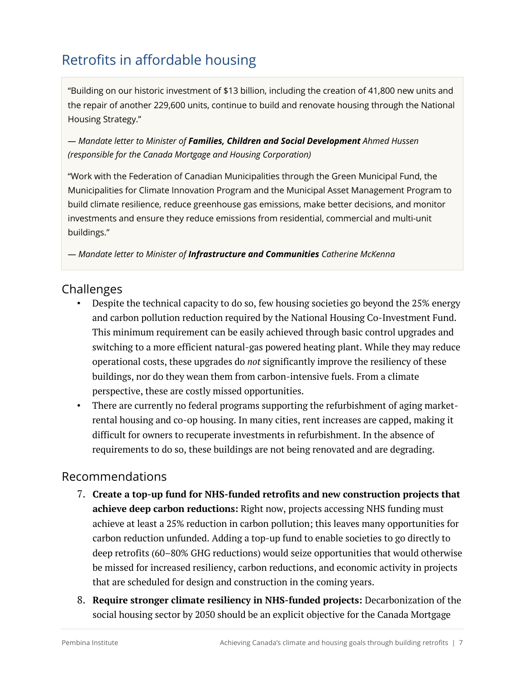# Retrofits in affordable housing

"Building on our historic investment of \$13 billion, including the creation of 41,800 new units and the repair of another 229,600 units, continue to build and renovate housing through the National Housing Strategy."

*— Mandate letter to Minister of Families, Children and Social Development Ahmed Hussen (responsible for the Canada Mortgage and Housing Corporation)*

"Work with the Federation of Canadian Municipalities through the Green Municipal Fund, the Municipalities for Climate Innovation Program and the Municipal Asset Management Program to build climate resilience, reduce greenhouse gas emissions, make better decisions, and monitor investments and ensure they reduce emissions from residential, commercial and multi-unit buildings."

*— Mandate letter to Minister of Infrastructure and Communities Catherine McKenna*

### **Challenges**

- Despite the technical capacity to do so, few housing societies go beyond the 25% energy and carbon pollution reduction required by the National Housing Co-Investment Fund. This minimum requirement can be easily achieved through basic control upgrades and switching to a more efficient natural-gas powered heating plant. While they may reduce operational costs, these upgrades do *not* significantly improve the resiliency of these buildings, nor do they wean them from carbon-intensive fuels. From a climate perspective, these are costly missed opportunities.
- There are currently no federal programs supporting the refurbishment of aging marketrental housing and co-op housing. In many cities, rent increases are capped, making it difficult for owners to recuperate investments in refurbishment. In the absence of requirements to do so, these buildings are not being renovated and are degrading.

- 7. **Create a top-up fund for NHS-funded retrofits and new construction projects that achieve deep carbon reductions:** Right now, projects accessing NHS funding must achieve at least a 25% reduction in carbon pollution; this leaves many opportunities for carbon reduction unfunded. Adding a top-up fund to enable societies to go directly to deep retrofits (60–80% GHG reductions) would seize opportunities that would otherwise be missed for increased resiliency, carbon reductions, and economic activity in projects that are scheduled for design and construction in the coming years.
- 8. **Require stronger climate resiliency in NHS-funded projects:** Decarbonization of the social housing sector by 2050 should be an explicit objective for the Canada Mortgage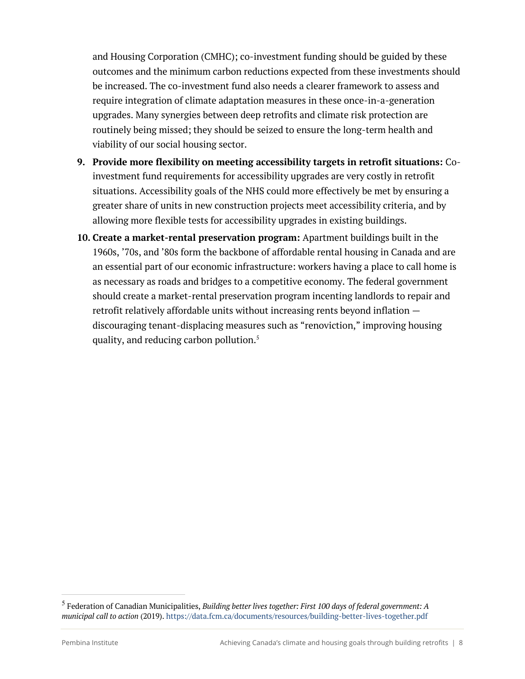and Housing Corporation (CMHC); co-investment funding should be guided by these outcomes and the minimum carbon reductions expected from these investments should be increased. The co-investment fund also needs a clearer framework to assess and require integration of climate adaptation measures in these once-in-a-generation upgrades. Many synergies between deep retrofits and climate risk protection are routinely being missed; they should be seized to ensure the long-term health and viability of our social housing sector.

- **9. Provide more flexibility on meeting accessibility targets in retrofit situations:** Coinvestment fund requirements for accessibility upgrades are very costly in retrofit situations. Accessibility goals of the NHS could more effectively be met by ensuring a greater share of units in new construction projects meet accessibility criteria, and by allowing more flexible tests for accessibility upgrades in existing buildings.
- **10. Create a market-rental preservation program:** Apartment buildings built in the 1960s, '70s, and '80s form the backbone of affordable rental housing in Canada and are an essential part of our economic infrastructure: workers having a place to call home is as necessary as roads and bridges to a competitive economy. The federal government should create a market-rental preservation program incenting landlords to repair and retrofit relatively affordable units without increasing rents beyond inflation discouraging tenant-displacing measures such as "renoviction," improving housing quality, and reducing carbon pollution. 5

<sup>5</sup> Federation of Canadian Municipalities, *Building better lives together: First 100 days of federal government: A municipal call to action* (2019). https://data.fcm.ca/documents/resources/building-better-lives-together.pdf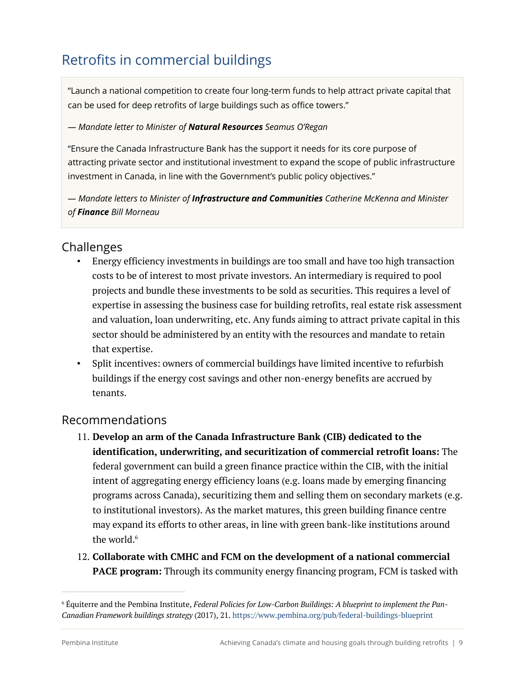# Retrofits in commercial buildings

"Launch a national competition to create four long-term funds to help attract private capital that can be used for deep retrofits of large buildings such as office towers."

#### *— Mandate letter to Minister of Natural Resources Seamus O'Regan*

"Ensure the Canada Infrastructure Bank has the support it needs for its core purpose of attracting private sector and institutional investment to expand the scope of public infrastructure investment in Canada, in line with the Government's public policy objectives."

*— Mandate letters to Minister of Infrastructure and Communities Catherine McKenna and Minister of Finance Bill Morneau*

### Challenges

- Energy efficiency investments in buildings are too small and have too high transaction costs to be of interest to most private investors. An intermediary is required to pool projects and bundle these investments to be sold as securities. This requires a level of expertise in assessing the business case for building retrofits, real estate risk assessment and valuation, loan underwriting, etc. Any funds aiming to attract private capital in this sector should be administered by an entity with the resources and mandate to retain that expertise.
- Split incentives: owners of commercial buildings have limited incentive to refurbish buildings if the energy cost savings and other non-energy benefits are accrued by tenants.

- 11. **Develop an arm of the Canada Infrastructure Bank (CIB) dedicated to the identification, underwriting, and securitization of commercial retrofit loans:** The federal government can build a green finance practice within the CIB, with the initial intent of aggregating energy efficiency loans (e.g. loans made by emerging financing programs across Canada), securitizing them and selling them on secondary markets (e.g. to institutional investors). As the market matures, this green building finance centre may expand its efforts to other areas, in line with green bank-like institutions around the world. $6$
- 12. **Collaborate with CMHC and FCM on the development of a national commercial PACE program:** Through its community energy financing program, FCM is tasked with

<sup>6</sup> Équiterre and the Pembina Institute, *Federal Policies for Low-Carbon Buildings: A blueprint to implement the Pan-Canadian Framework buildings strategy* (2017), 21. https://www.pembina.org/pub/federal-buildings-blueprint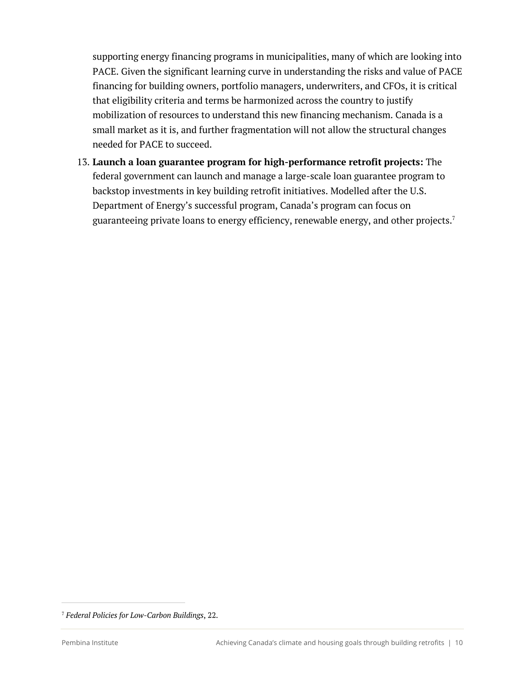supporting energy financing programs in municipalities, many of which are looking into PACE. Given the significant learning curve in understanding the risks and value of PACE financing for building owners, portfolio managers, underwriters, and CFOs, it is critical that eligibility criteria and terms be harmonized across the country to justify mobilization of resources to understand this new financing mechanism. Canada is a small market as it is, and further fragmentation will not allow the structural changes needed for PACE to succeed.

13. **Launch a loan guarantee program for high-performance retrofit projects:** The federal government can launch and manage a large-scale loan guarantee program to backstop investments in key building retrofit initiatives. Modelled after the U.S. Department of Energy's successful program, Canada's program can focus on guaranteeing private loans to energy efficiency, renewable energy, and other projects.<sup>7</sup>

<sup>7</sup> *Federal Policies for Low-Carbon Buildings*, 22.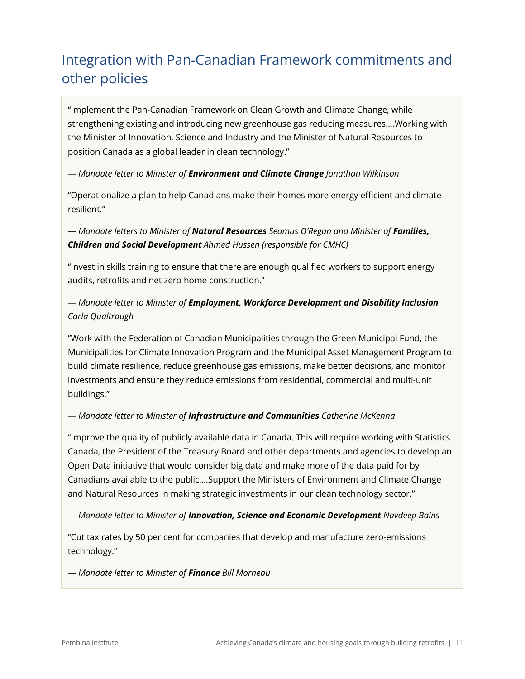# Integration with Pan-Canadian Framework commitments and other policies

"Implement the Pan-Canadian Framework on Clean Growth and Climate Change, while strengthening existing and introducing new greenhouse gas reducing measures….Working with the Minister of Innovation, Science and Industry and the Minister of Natural Resources to position Canada as a global leader in clean technology."

#### *— Mandate letter to Minister of Environment and Climate Change Jonathan Wilkinson*

"Operationalize a plan to help Canadians make their homes more energy efficient and climate resilient."

*— Mandate letters to Minister of Natural Resources Seamus O'Regan and Minister of Families, Children and Social Development Ahmed Hussen (responsible for CMHC)*

"Invest in skills training to ensure that there are enough qualified workers to support energy audits, retrofits and net zero home construction."

#### *— Mandate letter to Minister of Employment, Workforce Development and Disability Inclusion Carla Qualtrough*

"Work with the Federation of Canadian Municipalities through the Green Municipal Fund, the Municipalities for Climate Innovation Program and the Municipal Asset Management Program to build climate resilience, reduce greenhouse gas emissions, make better decisions, and monitor investments and ensure they reduce emissions from residential, commercial and multi-unit buildings."

#### *— Mandate letter to Minister of Infrastructure and Communities Catherine McKenna*

"Improve the quality of publicly available data in Canada. This will require working with Statistics Canada, the President of the Treasury Board and other departments and agencies to develop an Open Data initiative that would consider big data and make more of the data paid for by Canadians available to the public….Support the Ministers of Environment and Climate Change and Natural Resources in making strategic investments in our clean technology sector."

#### *— Mandate letter to Minister of Innovation, Science and Economic Development Navdeep Bains*

"Cut tax rates by 50 per cent for companies that develop and manufacture zero-emissions technology."

*— Mandate letter to Minister of Finance Bill Morneau*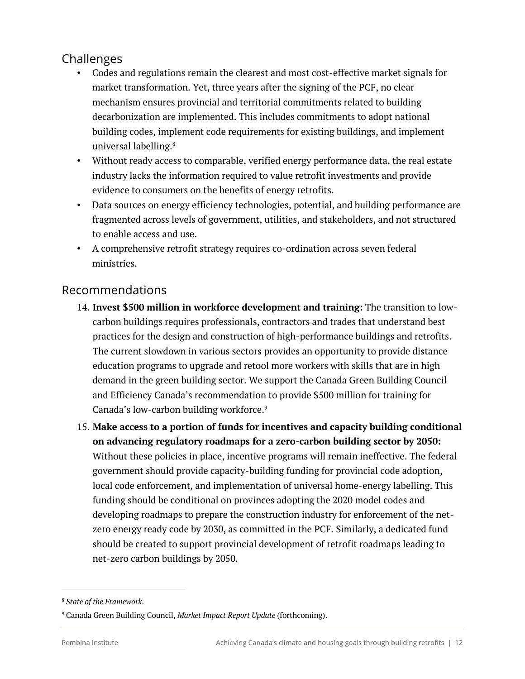# Challenges

- Codes and regulations remain the clearest and most cost-effective market signals for market transformation. Yet, three years after the signing of the PCF, no clear mechanism ensures provincial and territorial commitments related to building decarbonization are implemented. This includes commitments to adopt national building codes, implement code requirements for existing buildings, and implement universal labelling.<sup>8</sup>
- Without ready access to comparable, verified energy performance data, the real estate industry lacks the information required to value retrofit investments and provide evidence to consumers on the benefits of energy retrofits.
- Data sources on energy efficiency technologies, potential, and building performance are fragmented across levels of government, utilities, and stakeholders, and not structured to enable access and use.
- A comprehensive retrofit strategy requires co-ordination across seven federal ministries.

- 14. **Invest \$500 million in workforce development and training:** The transition to lowcarbon buildings requires professionals, contractors and trades that understand best practices for the design and construction of high-performance buildings and retrofits. The current slowdown in various sectors provides an opportunity to provide distance education programs to upgrade and retool more workers with skills that are in high demand in the green building sector. We support the Canada Green Building Council and Efficiency Canada's recommendation to provide \$500 million for training for Canada's low-carbon building workforce.<sup>9</sup>
- 15. **Make access to a portion of funds for incentives and capacity building conditional on advancing regulatory roadmaps for a zero-carbon building sector by 2050:** Without these policies in place, incentive programs will remain ineffective. The federal government should provide capacity-building funding for provincial code adoption, local code enforcement, and implementation of universal home-energy labelling. This funding should be conditional on provinces adopting the 2020 model codes and developing roadmaps to prepare the construction industry for enforcement of the netzero energy ready code by 2030, as committed in the PCF. Similarly, a dedicated fund should be created to support provincial development of retrofit roadmaps leading to net-zero carbon buildings by 2050.

<sup>8</sup> *State of the Framework*.

<sup>9</sup> Canada Green Building Council, *Market Impact Report Update* (forthcoming).